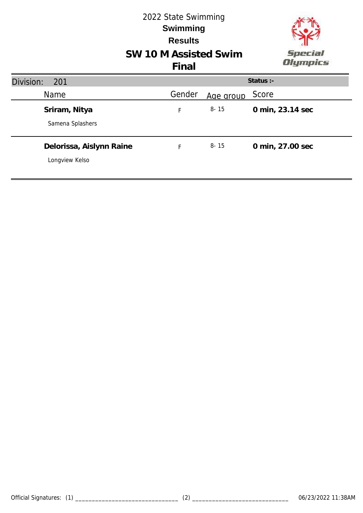#### 2022 State Swimming **Swimming Results SW 10 M Assisted Swim** Special **Olympics Final Status :-** Division: 201 Name Mame Cender Age group Score F 8- 15 **0 min, 23.14 sec Sriram, Nitya** Samena Splashers F 8- 15 **0 min, 27.00 sec Delorissa, Aislynn Raine** Longview Kelso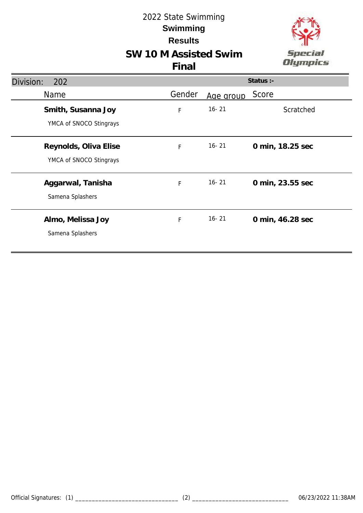# **SW 10 M Assisted Swim**



| Division:<br>202                                 |             |           | Status :-        |
|--------------------------------------------------|-------------|-----------|------------------|
| <b>Name</b>                                      | Gender      | Age group | Score            |
| Smith, Susanna Joy<br>YMCA of SNOCO Stingrays    | $\mathsf F$ | $16 - 21$ | Scratched        |
| Reynolds, Oliva Elise<br>YMCA of SNOCO Stingrays | $\mathsf F$ | $16 - 21$ | 0 min, 18.25 sec |
| Aggarwal, Tanisha<br>Samena Splashers            | $\mathsf F$ | $16 - 21$ | 0 min, 23.55 sec |
| Almo, Melissa Joy<br>Samena Splashers            | F           | $16 - 21$ | 0 min, 46.28 sec |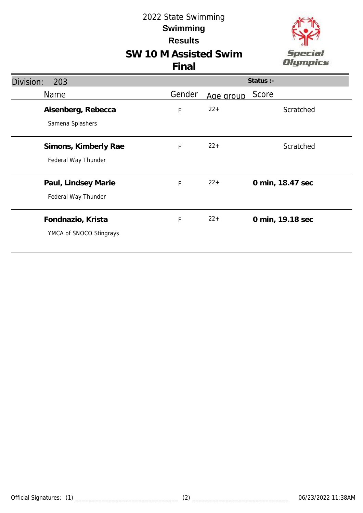



| Division:<br>203                             |             |           | Status :-        |
|----------------------------------------------|-------------|-----------|------------------|
| <b>Name</b>                                  | Gender      | Age group | Score            |
| Aisenberg, Rebecca<br>Samena Splashers       | $\mathsf F$ | $22+$     | Scratched        |
| Simons, Kimberly Rae<br>Federal Way Thunder  | F           | $22+$     | Scratched        |
| Paul, Lindsey Marie<br>Federal Way Thunder   | F           | $22+$     | 0 min, 18.47 sec |
| Fondnazio, Krista<br>YMCA of SNOCO Stingrays | $\mathsf F$ | $22+$     | 0 min, 19.18 sec |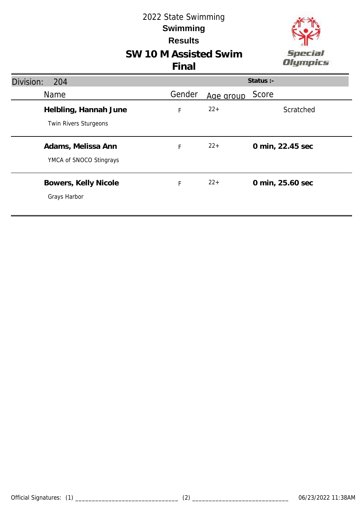

# **SW 10 M Assisted Swim**

| Division:<br>204                               |        |           | Status :-        |
|------------------------------------------------|--------|-----------|------------------|
| Name                                           | Gender | Age group | Score            |
| Helbling, Hannah June<br>Twin Rivers Sturgeons | F      | $22+$     | Scratched        |
| Adams, Melissa Ann<br>YMCA of SNOCO Stingrays  | F      | $22+$     | 0 min, 22.45 sec |
| Bowers, Kelly Nicole<br>Grays Harbor           | F      | $22+$     | 0 min, 25.60 sec |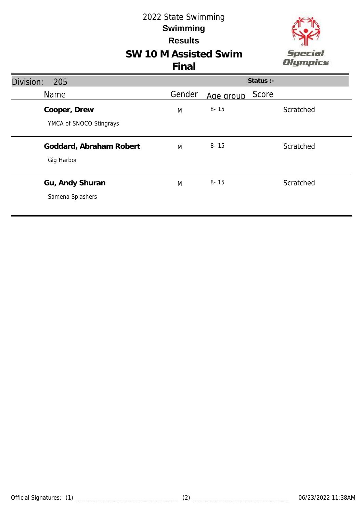

# **SW 10 M Assisted Swim**

| Division:<br>205                        |        | Status :-          |           |
|-----------------------------------------|--------|--------------------|-----------|
| Name                                    | Gender | Score<br>Age group |           |
| Cooper, Drew<br>YMCA of SNOCO Stingrays | M      | $8 - 15$           | Scratched |
| Goddard, Abraham Robert<br>Gig Harbor   | M      | $8 - 15$           | Scratched |
| Gu, Andy Shuran<br>Samena Splashers     | M      | $8 - 15$           | Scratched |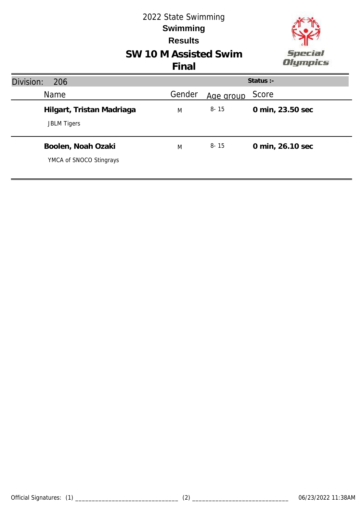

# **SW 10 M Assisted Swim**

| Division: | 206                                             |        |           | Status $:$ -     |
|-----------|-------------------------------------------------|--------|-----------|------------------|
|           | <b>Name</b>                                     | Gender | Age group | Score            |
|           | Hilgart, Tristan Madriaga<br><b>JBLM Tigers</b> | M      | $8 - 15$  | 0 min, 23.50 sec |
|           | Boolen, Noah Ozaki<br>YMCA of SNOCO Stingrays   | M      | $8 - 15$  | 0 min, 26.10 sec |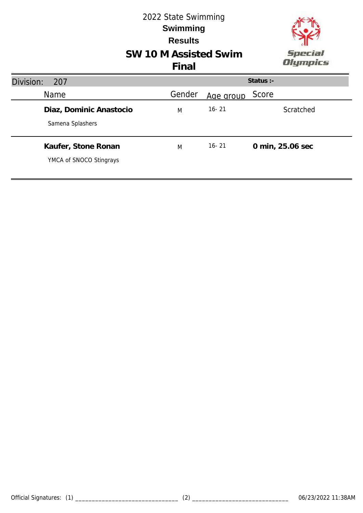

# **SW 10 M Assisted Swim**

| Division: | 207                                            |        |           | Status $:$ -     |
|-----------|------------------------------------------------|--------|-----------|------------------|
|           | <b>Name</b>                                    | Gender | Age group | Score            |
|           | Diaz, Dominic Anastocio<br>Samena Splashers    | M      | $16 - 21$ | Scratched        |
|           | Kaufer, Stone Ronan<br>YMCA of SNOCO Stingrays | M      | $16 - 21$ | 0 min, 25.06 sec |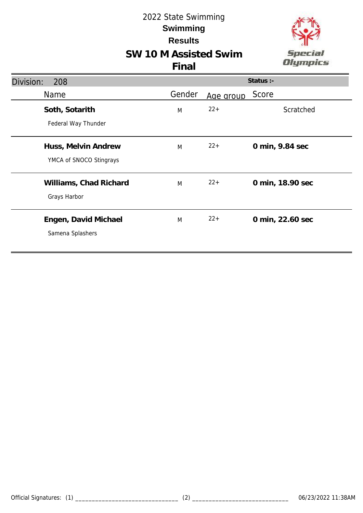



| Division:<br>208                               |        |           | Status :-        |
|------------------------------------------------|--------|-----------|------------------|
| <b>Name</b>                                    | Gender | Age group | Score            |
| Soth, Sotarith<br>Federal Way Thunder          | M      | $22 +$    | Scratched        |
| Huss, Melvin Andrew<br>YMCA of SNOCO Stingrays | M      | $22+$     | 0 min, 9.84 sec  |
| Williams, Chad Richard<br>Grays Harbor         | M      | $22+$     | 0 min, 18.90 sec |
| Engen, David Michael<br>Samena Splashers       | M      | $22+$     | 0 min, 22.60 sec |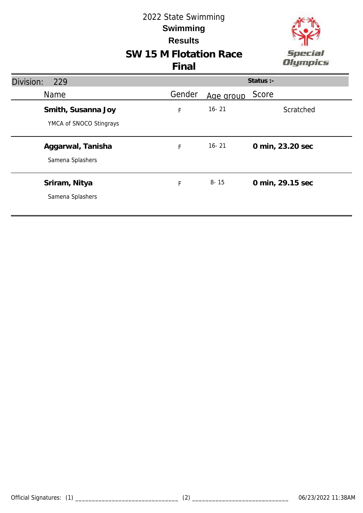

| Division:<br>229                              |        |           | Status :-        |
|-----------------------------------------------|--------|-----------|------------------|
| <b>Name</b>                                   | Gender | Age group | Score            |
| Smith, Susanna Joy<br>YMCA of SNOCO Stingrays | F      | $16 - 21$ | Scratched        |
| Aggarwal, Tanisha<br>Samena Splashers         | F      | $16 - 21$ | 0 min, 23.20 sec |
| Sriram, Nitya<br>Samena Splashers             | F      | $8 - 15$  | 0 min, 29.15 sec |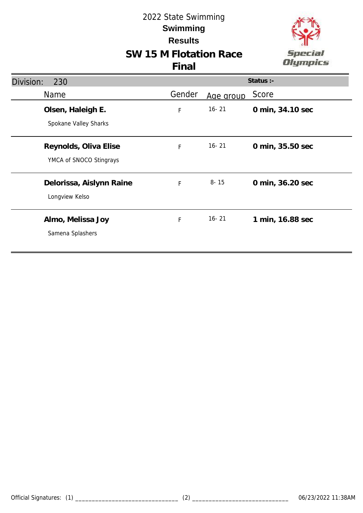

| Division:<br>230                                 |             |           | Status :-        |
|--------------------------------------------------|-------------|-----------|------------------|
| Name                                             | Gender      | Age group | Score            |
| Olsen, Haleigh E.<br>Spokane Valley Sharks       | F           | $16 - 21$ | 0 min, 34.10 sec |
| Reynolds, Oliva Elise<br>YMCA of SNOCO Stingrays | F           | $16 - 21$ | 0 min, 35.50 sec |
| Delorissa, Aislynn Raine<br>Longview Kelso       | $\mathsf F$ | $8 - 15$  | 0 min, 36.20 sec |
| Almo, Melissa Joy<br>Samena Splashers            | F           | $16 - 21$ | 1 min, 16.88 sec |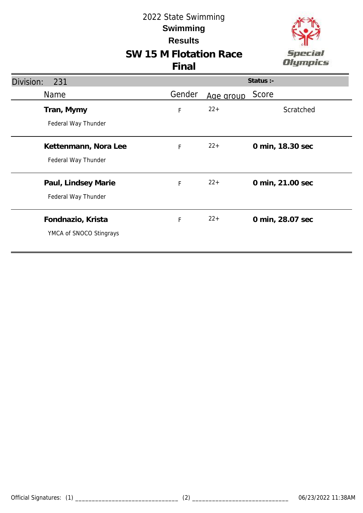

| Division:<br>231                             |        |           | Status :-        |
|----------------------------------------------|--------|-----------|------------------|
| Name                                         | Gender | Age group | Score            |
| Tran, Mymy<br>Federal Way Thunder            | F      | $22+$     | Scratched        |
| Kettenmann, Nora Lee<br>Federal Way Thunder  | F      | $22+$     | 0 min, 18.30 sec |
| Paul, Lindsey Marie<br>Federal Way Thunder   | F      | $22+$     | 0 min, 21.00 sec |
| Fondnazio, Krista<br>YMCA of SNOCO Stingrays | F      | $22+$     | 0 min, 28.07 sec |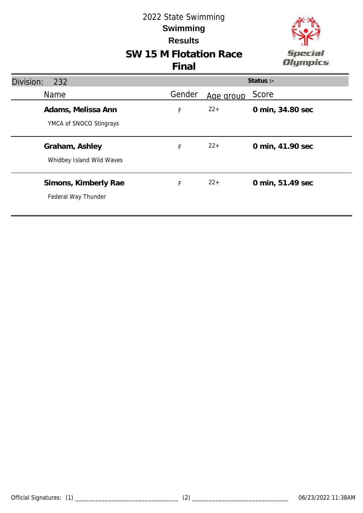

| Division:<br>232                              |        |           | Status :-        |
|-----------------------------------------------|--------|-----------|------------------|
| Name                                          | Gender | Age group | Score            |
| Adams, Melissa Ann<br>YMCA of SNOCO Stingrays | F      | $22+$     | 0 min, 34.80 sec |
| Graham, Ashley<br>Whidbey Island Wild Waves   | F      | $22+$     | 0 min, 41.90 sec |
| Simons, Kimberly Rae<br>Federal Way Thunder   | F      | $22+$     | 0 min, 51.49 sec |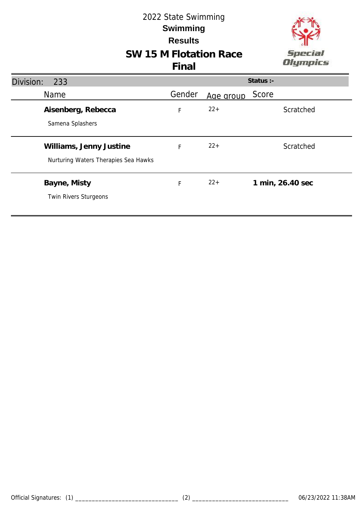

| Division:<br>233                       |        |           | Status :-        |
|----------------------------------------|--------|-----------|------------------|
| Name                                   | Gender | Age group | Score            |
| Aisenberg, Rebecca<br>Samena Splashers | F      | $22+$     | Scratched        |
|                                        |        |           |                  |
| Williams, Jenny Justine                | F      | $22+$     | Scratched        |
| Nurturing Waters Therapies Sea Hawks   |        |           |                  |
| Bayne, Misty                           | F      | $22+$     | 1 min, 26.40 sec |
| Twin Rivers Sturgeons                  |        |           |                  |
|                                        |        |           |                  |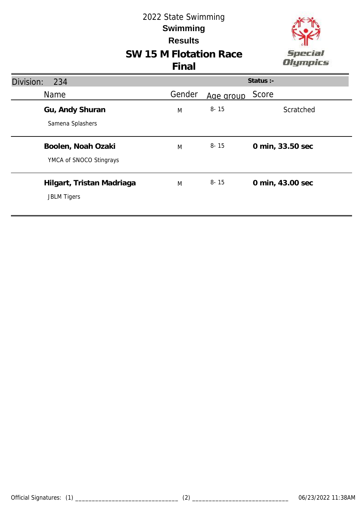**Final**



### Division: 234 Name Mame Cender Age group Score **Status :- Gu, Andy Shuran** Samena Splashers M 8-15 Scratched **Boolen, Noah Ozaki** YMCA of SNOCO Stingrays M 8- 15 **0 min, 33.50 sec Hilgart, Tristan Madriaga** JBLM Tigers M 8- 15 **0 min, 43.00 sec**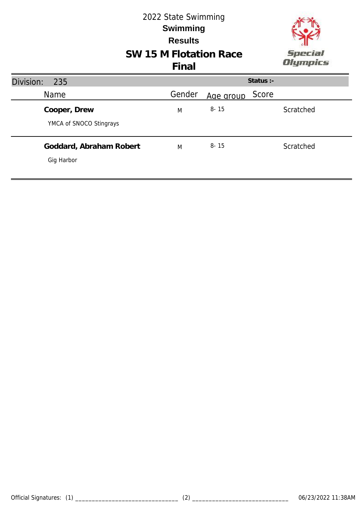

| Division:<br>235                        |        | Status :-          |           |
|-----------------------------------------|--------|--------------------|-----------|
| Name                                    | Gender | Score<br>Age group |           |
| Cooper, Drew<br>YMCA of SNOCO Stingrays | M      | $8 - 15$           | Scratched |
| Goddard, Abraham Robert<br>Gig Harbor   | M      | $8 - 15$           | Scratched |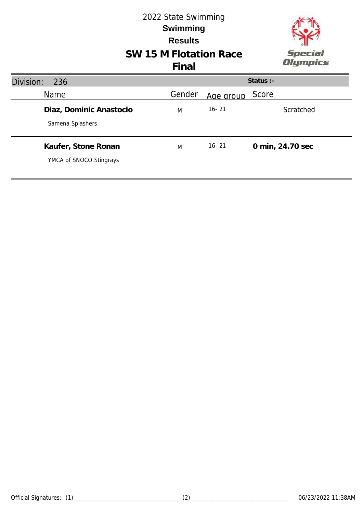

# **SW 15 M Flotation Race**

| Division:<br>236                               |        |           | Status $:$ -     |
|------------------------------------------------|--------|-----------|------------------|
| <b>Name</b>                                    | Gender | Age group | Score            |
| Diaz, Dominic Anastocio<br>Samena Splashers    | M      | $16 - 21$ | Scratched        |
| Kaufer, Stone Ronan<br>YMCA of SNOCO Stingrays | M      | $16 - 21$ | 0 min, 24.70 sec |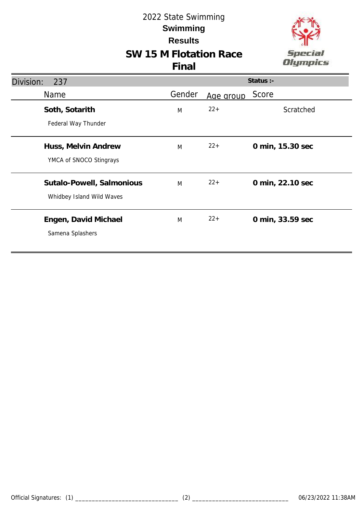

# **SW 15 M Flotation Race**

| Division:<br>237          |        |           | Status :-        |
|---------------------------|--------|-----------|------------------|
| <b>Name</b>               | Gender | Age group | Score            |
| Soth, Sotarith            | M      | $22+$     | Scratched        |
| Federal Way Thunder       |        |           |                  |
| Huss, Melvin Andrew       | M      | $22+$     | 0 min, 15.30 sec |
| YMCA of SNOCO Stingrays   |        |           |                  |
| Sutalo-Powell, Salmonious | M      | $22+$     | 0 min, 22.10 sec |
| Whidbey Island Wild Waves |        |           |                  |
| Engen, David Michael      | M      | $22+$     | 0 min, 33.59 sec |
| Samena Splashers          |        |           |                  |
|                           |        |           |                  |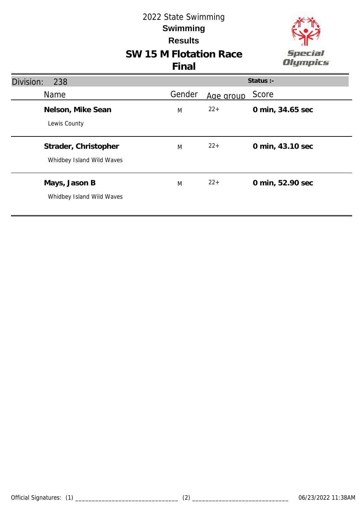

| Division:<br>238                                  |        |           | Status :-        |
|---------------------------------------------------|--------|-----------|------------------|
| Name                                              | Gender | Age group | Score            |
| Nelson, Mike Sean<br>Lewis County                 | M      | $22+$     | 0 min, 34.65 sec |
| Strader, Christopher<br>Whidbey Island Wild Waves | M      | $22+$     | 0 min, 43.10 sec |
| Mays, Jason B<br>Whidbey Island Wild Waves        | M      | $22+$     | 0 min, 52.90 sec |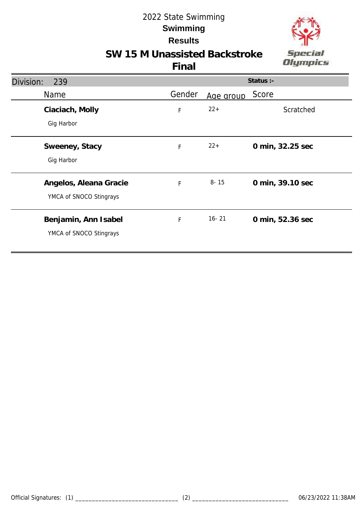

#### **SW 15 M Unassisted Backstroke**

| Division:<br>239                                  |             |           | Status :-        |
|---------------------------------------------------|-------------|-----------|------------------|
| <b>Name</b>                                       | Gender      | Age group | Score            |
| Ciaciach, Molly<br>Gig Harbor                     | $\mathsf F$ | $22+$     | Scratched        |
| Sweeney, Stacy<br>Gig Harbor                      | $\mathsf F$ | $22+$     | 0 min, 32.25 sec |
| Angelos, Aleana Gracie<br>YMCA of SNOCO Stingrays | F           | $8 - 15$  | 0 min, 39.10 sec |
| Benjamin, Ann Isabel<br>YMCA of SNOCO Stingrays   | F           | $16 - 21$ | 0 min, 52.36 sec |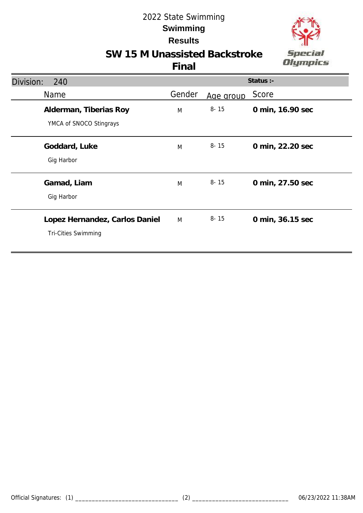

#### **SW 15 M Unassisted Backstroke**

| Division:<br>240                                             |        |           | Status :-        |
|--------------------------------------------------------------|--------|-----------|------------------|
| <b>Name</b>                                                  | Gender | Age group | Score            |
| Alderman, Tiberias Roy<br>YMCA of SNOCO Stingrays            | M      | $8 - 15$  | 0 min, 16.90 sec |
| Goddard, Luke<br>Gig Harbor                                  | M      | $8 - 15$  | 0 min, 22.20 sec |
| Gamad, Liam<br>Gig Harbor                                    | M      | $8 - 15$  | 0 min, 27.50 sec |
| Lopez Hernandez, Carlos Daniel<br><b>Tri-Cities Swimming</b> | M      | $8 - 15$  | 0 min, 36.15 sec |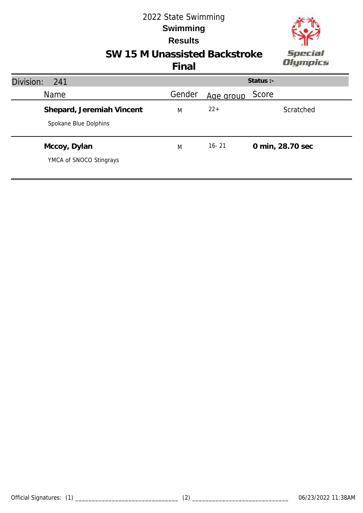

#### **SW 15 M Unassisted Backstroke**

| Division:<br>241                                   |        |           | Status $:$ -     |
|----------------------------------------------------|--------|-----------|------------------|
| <b>Name</b>                                        | Gender | Age group | Score            |
| Shepard, Jeremiah Vincent<br>Spokane Blue Dolphins | M      | $22+$     | Scratched        |
| Mccoy, Dylan<br>YMCA of SNOCO Stingrays            | M      | $16 - 21$ | 0 min, 28.70 sec |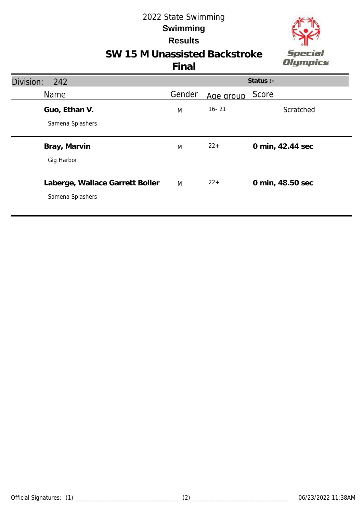

### **SW 15 M Unassisted Backstroke**

| Division:<br>242                |        |           | Status :-        |
|---------------------------------|--------|-----------|------------------|
| Name                            | Gender | Age group | Score            |
| Guo, Ethan V.                   | M      | $16 - 21$ | Scratched        |
| Samena Splashers                |        |           |                  |
| Bray, Marvin                    | M      | $22+$     | 0 min, 42.44 sec |
| Gig Harbor                      |        |           |                  |
| Laberge, Wallace Garrett Boller | M      | $22+$     | 0 min, 48.50 sec |
| Samena Splashers                |        |           |                  |
|                                 |        |           |                  |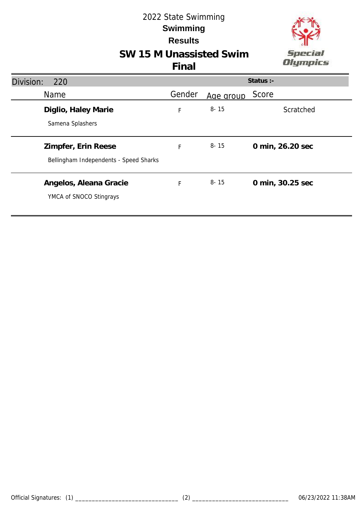

# **SW 15 M Unassisted Swim**

| Division:<br>220                                              |        |           | Status :-        |
|---------------------------------------------------------------|--------|-----------|------------------|
| <b>Name</b>                                                   | Gender | Age group | Score            |
| Diglio, Haley Marie<br>Samena Splashers                       | F      | $8 - 15$  | Scratched        |
| Zimpfer, Erin Reese<br>Bellingham Independents - Speed Sharks | F      | $8 - 15$  | 0 min, 26.20 sec |
| Angelos, Aleana Gracie<br>YMCA of SNOCO Stingrays             | F      | $8 - 15$  | 0 min, 30.25 sec |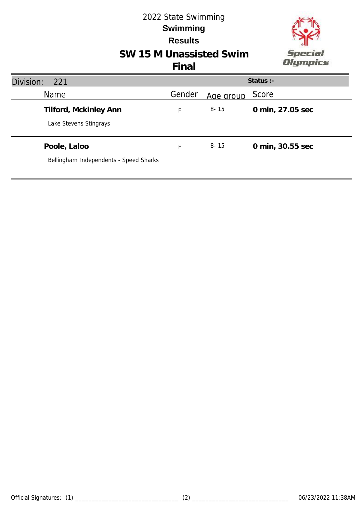

# **SW 15 M Unassisted Swim**

| Division:<br>221                                       |        |           | Status :-        |
|--------------------------------------------------------|--------|-----------|------------------|
| Name                                                   | Gender | Age group | Score            |
| Tilford, Mckinley Ann<br>Lake Stevens Stingrays        | F      | $8 - 15$  | 0 min, 27.05 sec |
| Poole, Laloo<br>Bellingham Independents - Speed Sharks | F      | $8 - 15$  | 0 min, 30.55 sec |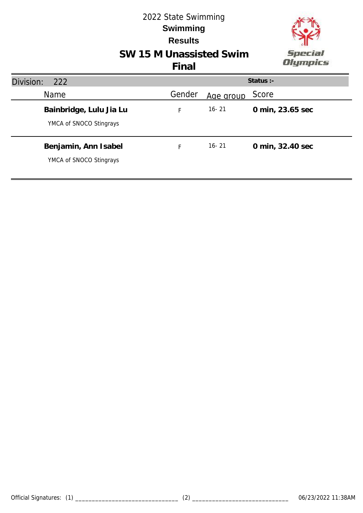

# **SW 15 M Unassisted Swim**

| Division:<br>222                                   |        |           | Status $:$ -     |
|----------------------------------------------------|--------|-----------|------------------|
| Name                                               | Gender | Age group | Score            |
| Bainbridge, Lulu Jia Lu<br>YMCA of SNOCO Stingrays | F      | $16 - 21$ | 0 min, 23.65 sec |
| Benjamin, Ann Isabel<br>YMCA of SNOCO Stingrays    |        | $16 - 21$ | 0 min, 32.40 sec |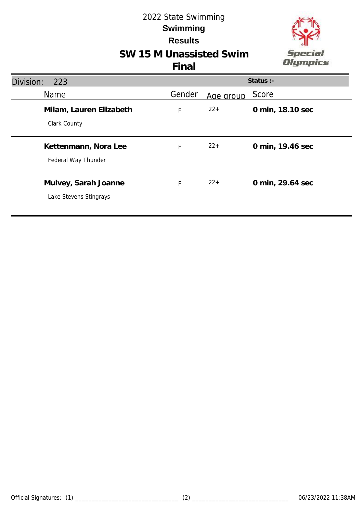

# **SW 15 M Unassisted Swim**

| Division:<br>223                               | Status :- |           |                  |
|------------------------------------------------|-----------|-----------|------------------|
| <b>Name</b>                                    | Gender    | Age group | Score            |
| Milam, Lauren Elizabeth<br>Clark County        | F         | $22+$     | 0 min, 18.10 sec |
| Kettenmann, Nora Lee<br>Federal Way Thunder    | F         | $22+$     | 0 min, 19.46 sec |
| Mulvey, Sarah Joanne<br>Lake Stevens Stingrays | F         | $22+$     | 0 min, 29.64 sec |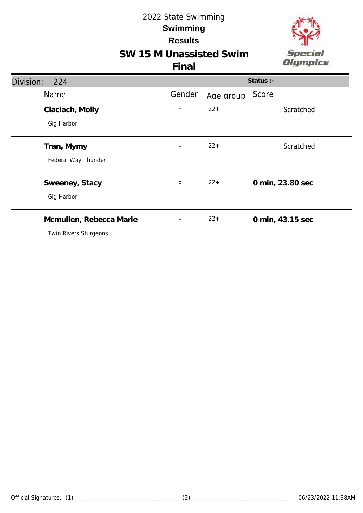

# **SW 15 M Unassisted Swim**

| Status :-<br>Division:<br>224 |        |           |                  |
|-------------------------------|--------|-----------|------------------|
| Name                          | Gender | Age group | Score            |
| Ciaciach, Molly               | F      | $22+$     | Scratched        |
| Gig Harbor                    |        |           |                  |
| Tran, Mymy                    | F      | $22+$     | Scratched        |
| Federal Way Thunder           |        |           |                  |
| Sweeney, Stacy                | F      | $22+$     | 0 min, 23.80 sec |
| Gig Harbor                    |        |           |                  |
| Mcmullen, Rebecca Marie       | F      | $22+$     | 0 min, 43.15 sec |
| Twin Rivers Sturgeons         |        |           |                  |
|                               |        |           |                  |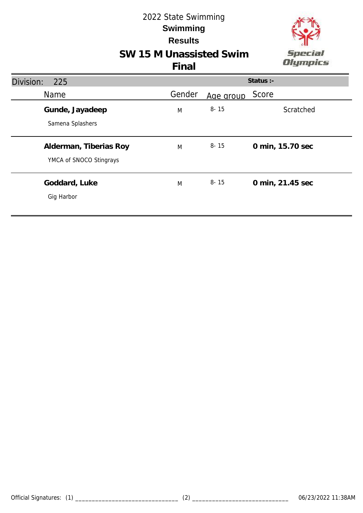

# **SW 15 M Unassisted Swim**

| Division:<br>225                                  |        |           | Status :-        |
|---------------------------------------------------|--------|-----------|------------------|
| <b>Name</b>                                       | Gender | Age group | Score            |
| Gunde, Jayadeep<br>Samena Splashers               | M      | $8 - 15$  | Scratched        |
| Alderman, Tiberias Roy<br>YMCA of SNOCO Stingrays | M      | $8 - 15$  | 0 min, 15.70 sec |
| Goddard, Luke<br>Gig Harbor                       | M      | $8 - 15$  | 0 min, 21.45 sec |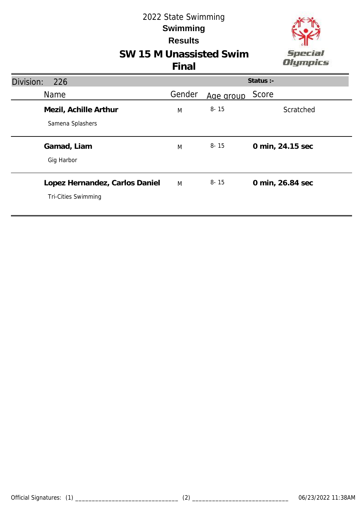

# **SW 15 M Unassisted Swim**

| Division:<br>226                                             | Status :- |           |                  |
|--------------------------------------------------------------|-----------|-----------|------------------|
| Name                                                         | Gender    | Age group | Score            |
| Mezil, Achille Arthur<br>Samena Splashers                    | M         | $8 - 15$  | Scratched        |
| Gamad, Liam<br>Gig Harbor                                    | M         | $8 - 15$  | 0 min, 24.15 sec |
| Lopez Hernandez, Carlos Daniel<br><b>Tri-Cities Swimming</b> | M         | $8 - 15$  | 0 min, 26.84 sec |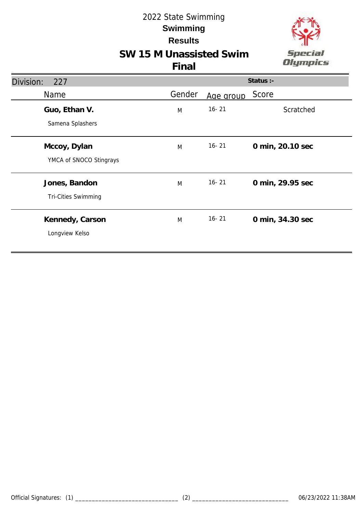

# **SW 15 M Unassisted Swim**

| Division:<br>227                            | Status :- |           |                  |
|---------------------------------------------|-----------|-----------|------------------|
| Name                                        | Gender    | Age group | Score            |
| Guo, Ethan V.<br>Samena Splashers           | M         | $16 - 21$ | Scratched        |
| Mccoy, Dylan<br>YMCA of SNOCO Stingrays     | M         | $16 - 21$ | 0 min, 20.10 sec |
| Jones, Bandon<br><b>Tri-Cities Swimming</b> | M         | $16 - 21$ | 0 min, 29.95 sec |
| Kennedy, Carson<br>Longview Kelso           | M         | $16 - 21$ | 0 min, 34.30 sec |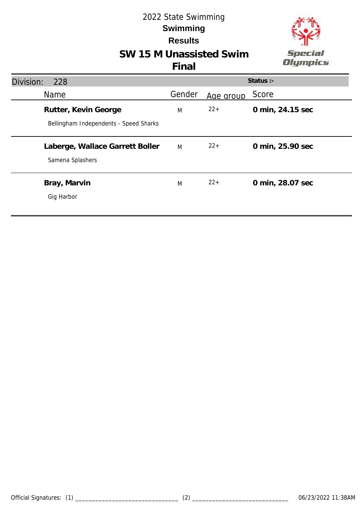

## **SW 15 M Unassisted Swim**

| Division:<br>228                                               | Status :- |           |                  |
|----------------------------------------------------------------|-----------|-----------|------------------|
| Name                                                           | Gender    | Age group | Score            |
| Rutter, Kevin George<br>Bellingham Independents - Speed Sharks | M         | $22+$     | 0 min, 24.15 sec |
| Laberge, Wallace Garrett Boller<br>Samena Splashers            | M         | $22+$     | 0 min, 25.90 sec |
| Bray, Marvin<br>Gig Harbor                                     | M         | $22+$     | 0 min, 28.07 sec |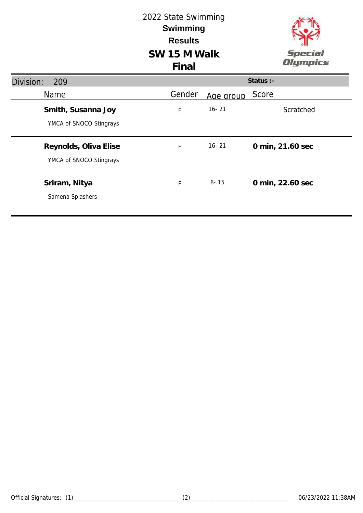# **SW 15 M Walk** 2022 State Swimming **Results Swimming Final**



| Division:<br>209                                 |        |           | Status :-        |
|--------------------------------------------------|--------|-----------|------------------|
| <b>Name</b>                                      | Gender | Age group | Score            |
| Smith, Susanna Joy<br>YMCA of SNOCO Stingrays    | F      | $16 - 21$ | Scratched        |
| Reynolds, Oliva Elise<br>YMCA of SNOCO Stingrays | F      | $16 - 21$ | 0 min, 21.60 sec |
| Sriram, Nitya<br>Samena Splashers                | F      | $8 - 15$  | 0 min, 22.60 sec |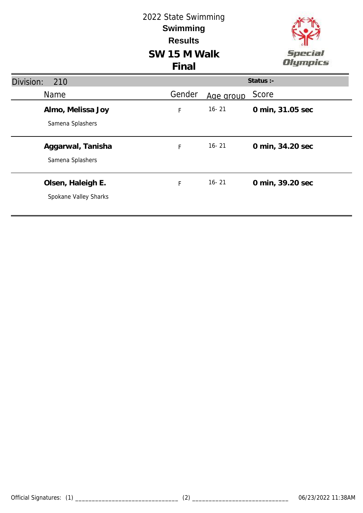# **SW 15 M Walk** 2022 State Swimming **Results Swimming Final**



| Division:<br>210                           |        |           | Status :-        |
|--------------------------------------------|--------|-----------|------------------|
| Name                                       | Gender | Age group | Score            |
| Almo, Melissa Joy<br>Samena Splashers      | F      | $16 - 21$ | 0 min, 31.05 sec |
| Aggarwal, Tanisha<br>Samena Splashers      | F      | $16 - 21$ | 0 min, 34.20 sec |
| Olsen, Haleigh E.<br>Spokane Valley Sharks | F      | 16-21     | 0 min, 39.20 sec |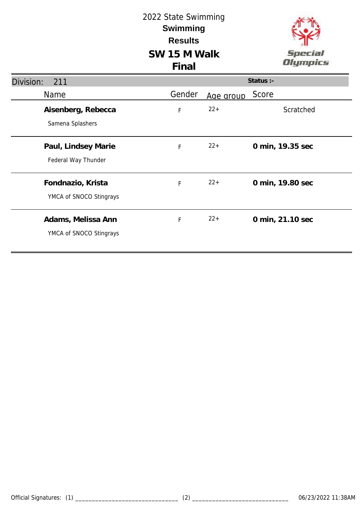

| Division:<br>211                              |             |           | Status :-        |
|-----------------------------------------------|-------------|-----------|------------------|
| Name                                          | Gender      | Age group | Score            |
| Aisenberg, Rebecca<br>Samena Splashers        | $\mathsf F$ | $22+$     | Scratched        |
| Paul, Lindsey Marie<br>Federal Way Thunder    | F           | $22+$     | 0 min, 19.35 sec |
| Fondnazio, Krista<br>YMCA of SNOCO Stingrays  | $\mathsf F$ | $22+$     | 0 min, 19.80 sec |
| Adams, Melissa Ann<br>YMCA of SNOCO Stingrays | $\mathsf F$ | $22+$     | 0 min, 21.10 sec |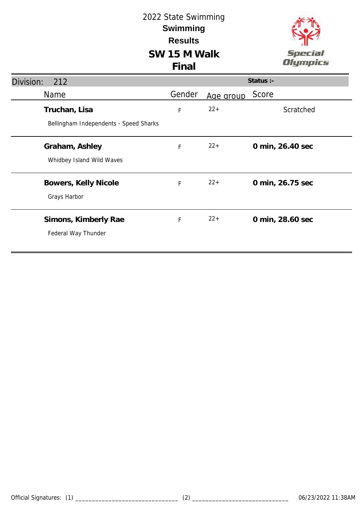



| Division:<br>212                                        |             |           | Status :-        |
|---------------------------------------------------------|-------------|-----------|------------------|
| <b>Name</b>                                             | Gender      | Age group | Score            |
| Truchan, Lisa<br>Bellingham Independents - Speed Sharks | $\mathsf F$ | $22+$     | Scratched        |
| Graham, Ashley<br>Whidbey Island Wild Waves             | F           | $22+$     | 0 min, 26.40 sec |
| Bowers, Kelly Nicole<br>Grays Harbor                    | $\mathsf F$ | $22+$     | 0 min, 26.75 sec |
| Simons, Kimberly Rae<br>Federal Way Thunder             | F           | $22+$     | 0 min, 28.60 sec |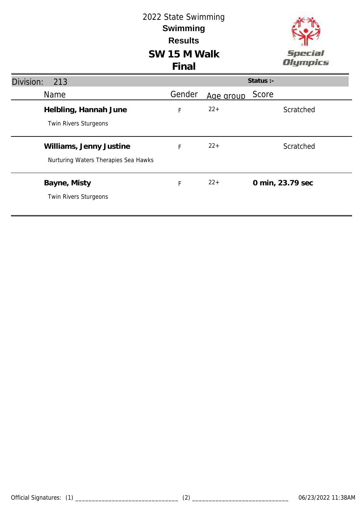

| SW 15 M Walk |
|--------------|
| Final        |

| Division: | 213                                                             | Status :- |           |                  |
|-----------|-----------------------------------------------------------------|-----------|-----------|------------------|
|           | Name                                                            | Gender    | Age group | Score            |
|           | Helbling, Hannah June<br>Twin Rivers Sturgeons                  | F         | $22+$     | Scratched        |
|           | Williams, Jenny Justine<br>Nurturing Waters Therapies Sea Hawks | F         | $22+$     | Scratched        |
|           | Bayne, Misty<br><b>Twin Rivers Sturgeons</b>                    | F         | $22+$     | 0 min, 23.79 sec |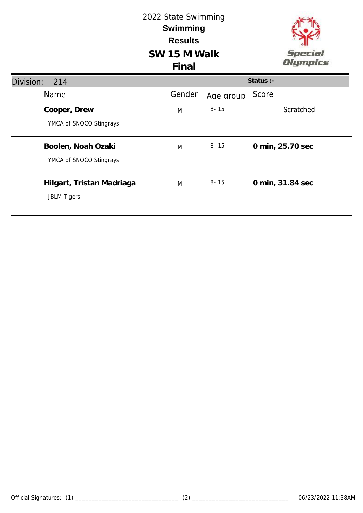# **SW 15 M Walk** 2022 State Swimming **Results Swimming**



| Division:<br>214                                |        |           | Status $:$ -     |
|-------------------------------------------------|--------|-----------|------------------|
| Name                                            | Gender | Age group | Score            |
| Cooper, Drew<br>YMCA of SNOCO Stingrays         | M      | $8 - 15$  | Scratched        |
| Boolen, Noah Ozaki<br>YMCA of SNOCO Stingrays   | M      | $8 - 15$  | 0 min, 25.70 sec |
| Hilgart, Tristan Madriaga<br><b>JBLM Tigers</b> | M      | $8 - 15$  | 0 min, 31.84 sec |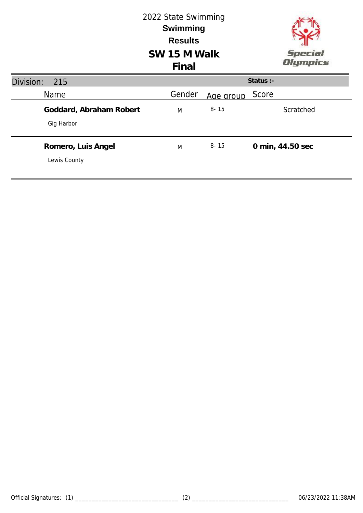

| Division:<br>215                      |        |           | Status $:$ -     |
|---------------------------------------|--------|-----------|------------------|
| Name                                  | Gender | Age group | Score            |
| Goddard, Abraham Robert<br>Gig Harbor | M      | $8 - 15$  | Scratched        |
| Romero, Luis Angel<br>Lewis County    | M      | $8 - 15$  | 0 min, 44.50 sec |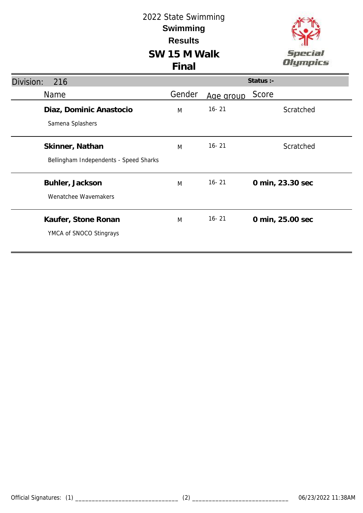

| Division:<br>216                                          |        |           | Status :-        |
|-----------------------------------------------------------|--------|-----------|------------------|
| <b>Name</b>                                               | Gender | Age group | Score            |
| Diaz, Dominic Anastocio<br>Samena Splashers               | M      | $16 - 21$ | Scratched        |
| Skinner, Nathan<br>Bellingham Independents - Speed Sharks | M      | $16 - 21$ | Scratched        |
| Buhler, Jackson<br>Wenatchee Wavemakers                   | M      | $16 - 21$ | 0 min, 23.30 sec |
| Kaufer, Stone Ronan<br>YMCA of SNOCO Stingrays            | M      | $16 - 21$ | 0 min, 25.00 sec |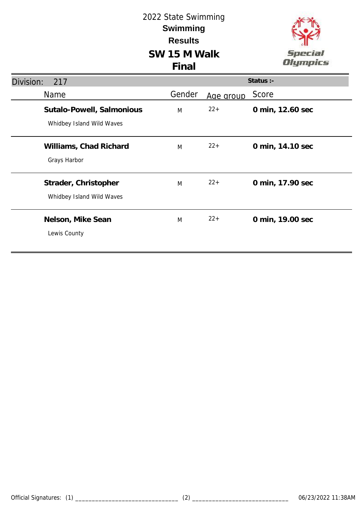

| Division:<br>217                                       |        |           | Status :-        |
|--------------------------------------------------------|--------|-----------|------------------|
| Name                                                   | Gender | Age group | Score            |
| Sutalo-Powell, Salmonious<br>Whidbey Island Wild Waves | M      | $22+$     | 0 min, 12.60 sec |
| Williams, Chad Richard<br>Grays Harbor                 | M      | $22+$     | 0 min, 14.10 sec |
| Strader, Christopher<br>Whidbey Island Wild Waves      | M      | $22+$     | 0 min, 17.90 sec |
| Nelson, Mike Sean<br>Lewis County                      | M      | $22+$     | 0 min, 19.00 sec |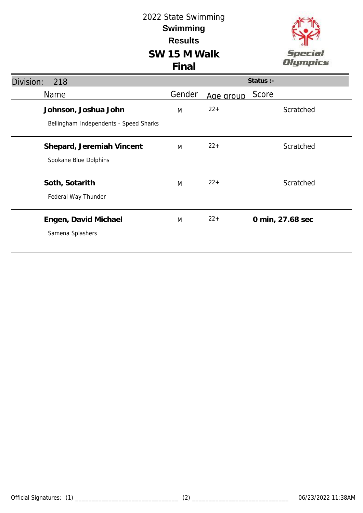

| Division:<br>218                                               |        |           | Status :-        |
|----------------------------------------------------------------|--------|-----------|------------------|
| Name                                                           | Gender | Age group | Score            |
| Johnson, Joshua John<br>Bellingham Independents - Speed Sharks | M      | $22 +$    | Scratched        |
| Shepard, Jeremiah Vincent<br>Spokane Blue Dolphins             | M      | $22 +$    | Scratched        |
| Soth, Sotarith<br>Federal Way Thunder                          | M      | $22+$     | Scratched        |
| Engen, David Michael<br>Samena Splashers                       | M      | $22+$     | 0 min, 27.68 sec |